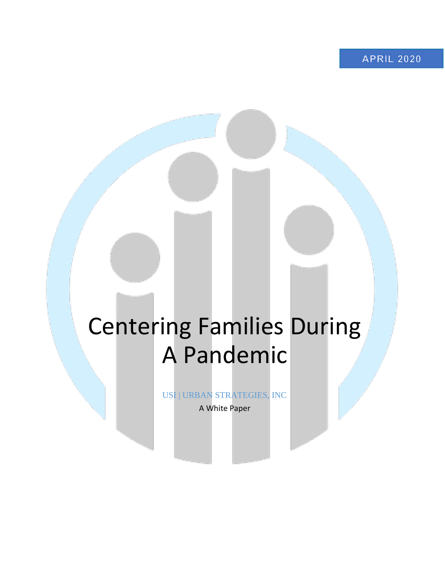**APRIL 2020** 

# Centering Families During A Pandemic

USI | URBAN STRATEGIES, INC

A White Paper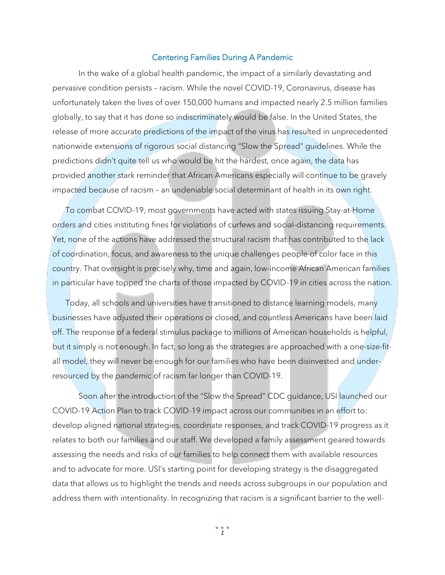### Centering Families During A Pandemic

In the wake of a global health pandemic, the impact of a similarly devastating and pervasive condition persists – racism. While the novel COVID-19, Coronavirus, disease has unfortunately taken the lives of over 150,000 humans and impacted nearly 2.5 million families globally, to say that it has done so indiscriminately would be false. In the United States, the release of more accurate predictions of the impact of the virus has resulted in unprecedented nationwide extensions of rigorous social distancing "Slow the Spread" guidelines. While the predictions didn't quite tell us who would be hit the hardest, once again, the data has provided another stark reminder that African Americans especially will continue to be gravely impacted because of racism – an undeniable social determinant of health in its own right.

To combat COVID-19, most governments have acted with states issuing Stay-at-Home orders and cities instituting fines for violations of curfews and social-distancing requirements. Yet, none of the actions have addressed the structural racism that has contributed to the lack of coordination, focus, and awareness to the unique challenges people of color face in this country. That oversight is precisely why, time and again, low-income African American families in particular have topped the charts of those impacted by COVID-19 in cities across the nation.

Today, all schools and universities have transitioned to distance learning models, many businesses have adjusted their operations or closed, and countless Americans have been laid off. The response of a federal stimulus package to millions of American households is helpful, but it simply is not enough. In fact, so long as the strategies are approached with a one-size-fitall model, they will never be enough for our families who have been disinvested and underresourced by the *pandemic* of racism far longer than COVID-19.

Soon after the introduction of the "Slow the Spread" CDC guidance, USI launched our COVID-19 Action Plan to track COVID-19 impact across our communities in an effort to: develop aligned national strategies, coordinate responses, and track COVID-19 progress as it relates to both our families and our staff. We developed a family assessment geared towards assessing the needs and risks of our families to help connect them with available resources and to advocate for more. USI's starting point for developing strategy is the disaggregated data that allows us to highlight the trends and needs across subgroups in our population and address them with intentionality. In recognizing that racism is a significant barrier to the well-

 $\frac{1}{1}$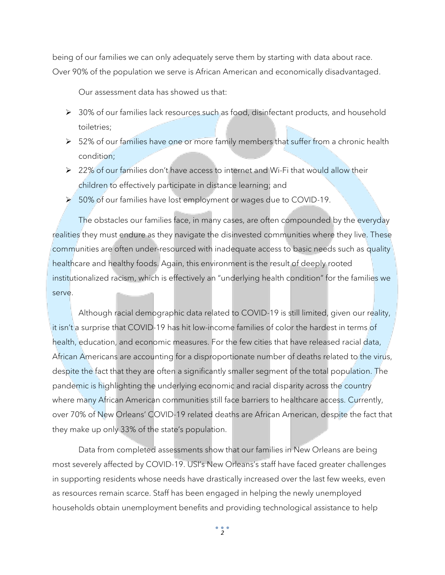being of our families we can only adequately serve them by starting with data about race. Over 90% of the population we serve is African American and economically disadvantaged.

Our assessment data has showed us that:

- $\triangleright$  30% of our families lack resources such as food, disinfectant products, and household toiletries;
- ➢ 52% of our families have one or more family members that suffer from a chronic health condition;
- $\geq 22\%$  of our families don't have access to internet and Wi-Fi that would allow their children to effectively participate in distance learning; and
- ➢ 50% of our families have lost employment or wages due to COVID-19.

The obstacles our families face, in many cases, are often compounded by the everyday realities they must endure as they navigate the disinvested communities where they live. These communities are often under-resourced with inadequate access to basic needs such as quality healthcare and healthy foods. Again, this environment is the result of deeply rooted institutionalized racism, which is effectively an "underlying health condition" for the families we serve.

Although racial demographic data related to COVID-19 is still limited, given our reality, it isn't a surprise that COVID-19 has hit low-income families of color the hardest in terms of health, education, and economic measures. For the few cities that have released racial data, African Americans are accounting for a disproportionate number of deaths related to the virus, despite the fact that they are often a significantly smaller segment of the total population. The pandemic is highlighting the underlying economic and racial disparity across the country where many African American communities still face barriers to healthcare access. Currently, over 70% of New Orleans' COVID-19 related deaths are African American, despite the fact that they make up only 33% of the state's population.

Data from completed assessments show that our families in New Orleans are being most severely affected by COVID-19. USI's New Orleans's staff have faced greater challenges in supporting residents whose needs have drastically increased over the last few weeks, even as resources remain scarce. Staff has been engaged in helping the newly unemployed households obtain unemployment benefits and providing technological assistance to help

 $\frac{1}{2}$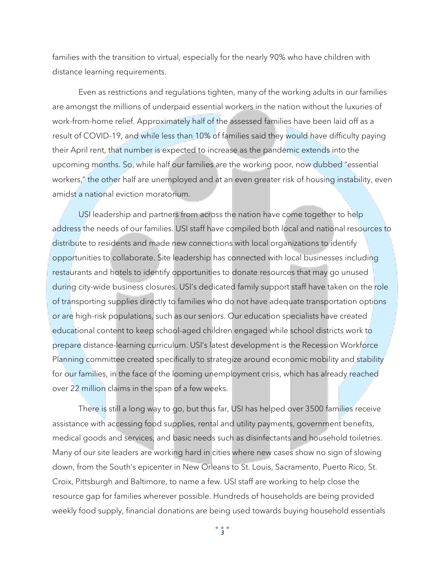families with the transition to virtual, especially for the nearly 90% who have children with distance learning requirements.

Even as restrictions and regulations tighten, many of the working adults in our families are amongst the millions of underpaid essential workers in the nation without the luxuries of work-from-home relief. Approximately half of the assessed families have been laid off as a result of COVID-19, and while less than 10% of families said they would have difficulty paying their April rent, that number is expected to increase as the pandemic extends into the upcoming months. So, while half our families are the working poor, now dubbed "essential workers," the other half are unemployed and at an even greater risk of housing instability, even amidst a national eviction moratorium.

USI leadership and partners from across the nation have come together to help address the needs of our families. USI staff have compiled both local and national resources to distribute to residents and made new connections with local organizations to identify opportunities to collaborate. Site leadership has connected with local businesses including restaurants and hotels to identify opportunities to donate resources that may go unused during city-wide business closures. USI's dedicated family support staff have taken on the role of transporting supplies directly to families who do not have adequate transportation options or are high-risk populations, such as our seniors. Our education specialists have created educational content to keep school-aged children engaged while school districts work to prepare distance-learning curriculum. USI's latest development is the Recession Workforce Planning committee created specifically to strategize around economic mobility and stability for our families, in the face of the looming unemployment crisis, which has already reached over 22 million claims in the span of a few weeks.

There is still a long way to go, but thus far, USI has helped over 3500 families receive assistance with accessing food supplies, rental and utility payments, government benefits, medical goods and services, and basic needs such as disinfectants and household toiletries. Many of our site leaders are working hard in cities where new cases show no sign of slowing down, from the South's epicenter in New Orleans to St. Louis, Sacramento, Puerto Rico, St. Croix, Pittsburgh and Baltimore, to name a few. USI staff are working to help close the resource gap for families wherever possible. Hundreds of households are being provided weekly food supply, financial donations are being used towards buying household essentials

*3*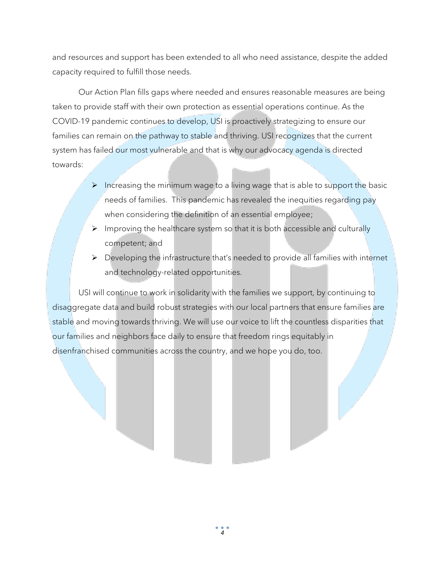and resources and support has been extended to all who need assistance, despite the added capacity required to fulfill those needs.

Our Action Plan fills gaps where needed and ensures reasonable measures are being taken to provide staff with their own protection as essential operations continue. As the COVID-19 pandemic continues to develop, USI is proactively strategizing to ensure our families can remain on the pathway to stable and thriving. USI recognizes that the current system has failed our most vulnerable and that is why our advocacy agenda is directed towards:

- $\triangleright$  Increasing the minimum wage to a living wage that is able to support the basic needs of families. This pandemic has revealed the inequities regarding pay when considering the definition of an essential employee;
- ➢ Improving the healthcare system so that it is both accessible and culturally competent; and
- ➢ Developing the infrastructure that's needed to provide all families with internet and technology-related opportunities.

USI will continue to work in solidarity with the families we support, by continuing to disaggregate data and build robust strategies with our local partners that ensure families are stable and moving towards thriving. We will use our voice to lift the countless disparities that our families and neighbors face daily to ensure that freedom rings equitably in disenfranchised communities across the country, and we hope you do, too.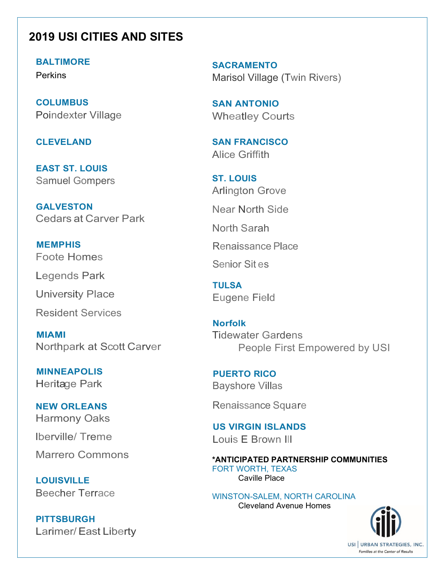## **2019 USI CITIES AND SITES**

**BALTIMORE Perkins** 

**COLUMBUS** Poindexter Village

## **CLEVELAND**

**EAST ST. LOUIS** Samuel Gompers

**GALVESTON** Cedars at Carver Park

**MEMPHIS** Foote Homes

Legends Park

University Place

Resident Services

**MIAMI** Northpark at Scott Carver

**MINNEAPOLIS** Heritage Park

**NEW ORLEANS** Harmony Oaks

lberville/ Treme

Marrero Commons

**LOUISVILLE** Beecher Terrace

**PITTSBURGH** Larimer/East Liberty **SACRAMENTO** Marisol Village (Twin Rivers)

**SAN ANTONIO** Wheatley Courts

**SAN FRANCISCO** Alice Griffith

**ST. LOUIS** Arlington Grove

Near North Side

North Sarah

Renaissance Place

Senior Sit es

**TULSA** Eugene Field

**Norfolk** Tidewater Gardens People First Empowered by USI

**PUERTO RICO** Bayshore Villas

Renaissance Square

**US VIRGIN ISLANDS** Louis E Brown Ill

**\*ANTICIPATED PARTNERSHIP COMMUNITIES** FORT WORTH, TEXAS Caville Place

WINSTON-SALEM, NORTH CAROLINA Cleveland Avenue Homes

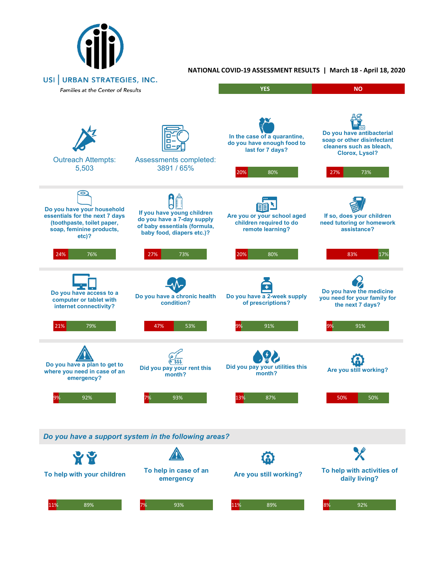

#### **NATIONAL COVID-19 ASSESSMENT RESULTS | March 18 - April 18, 2020**

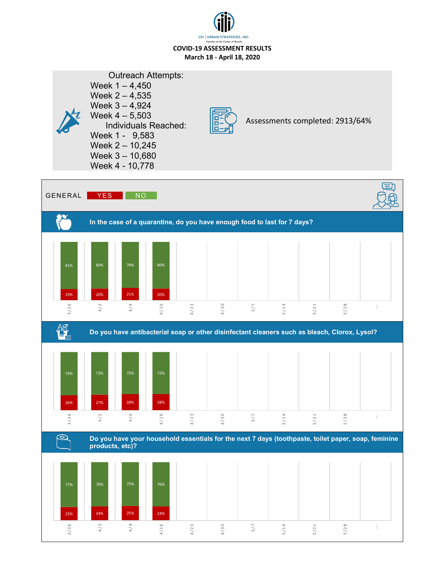



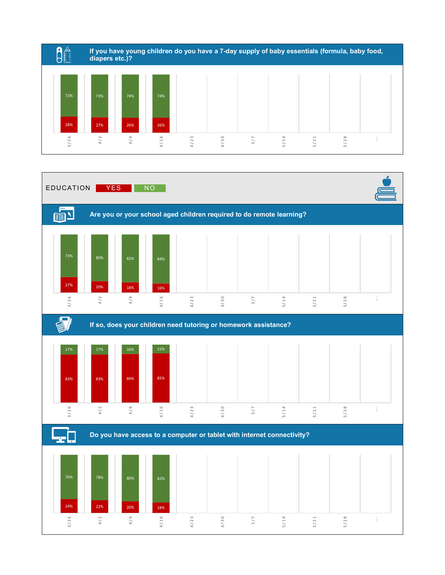

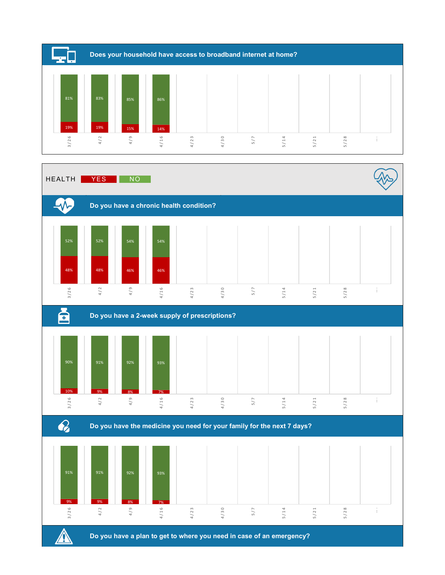



4/30

5/7

5/14

5/21

5/28

 $\mathbb{E}$ 

4/23

<u>9% 9% 8% 8% 7%</u>

 $3/26$ <br> $4/2$ <br> $4/16$ <br> $4/16$ 

 $\bigwedge$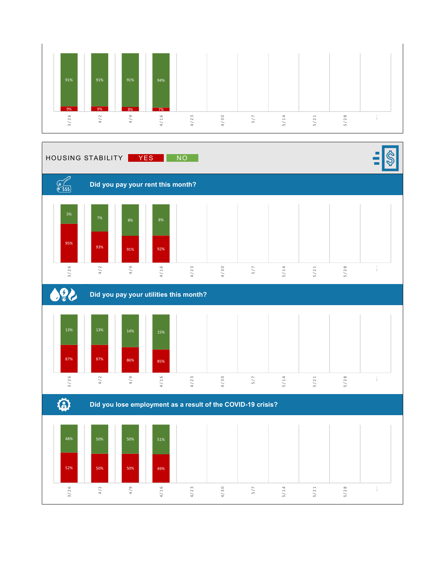

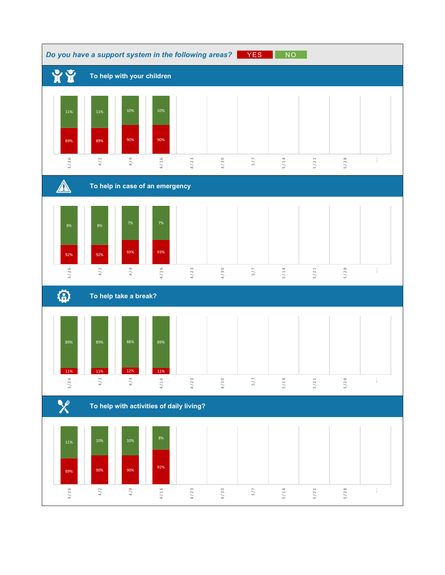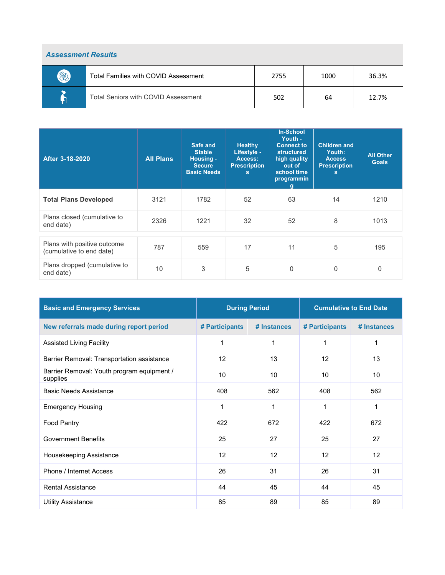| <b>Assessment Results</b> |                                             |      |      |       |  |  |
|---------------------------|---------------------------------------------|------|------|-------|--|--|
| <b>BA</b>                 | <b>Total Families with COVID Assessment</b> | 2755 | 1000 | 36.3% |  |  |
| J                         | <b>Total Seniors with COVID Assessment</b>  | 502  | 64   | 12.7% |  |  |

| After 3-18-2020                                         | <b>All Plans</b> | Safe and<br><b>Stable</b><br>Housing -<br><b>Secure</b><br><b>Basic Needs</b> | <b>Healthy</b><br>Lifestyle -<br>Access:<br><b>Prescription</b><br>s. | <b>In-School</b><br>Youth -<br><b>Connect to</b><br><b>structured</b><br>high quality<br>out of<br>school time<br>programmin<br>g | <b>Children and</b><br>Youth:<br><b>Access</b><br><b>Prescription</b><br>s. | <b>All Other</b><br><b>Goals</b> |
|---------------------------------------------------------|------------------|-------------------------------------------------------------------------------|-----------------------------------------------------------------------|-----------------------------------------------------------------------------------------------------------------------------------|-----------------------------------------------------------------------------|----------------------------------|
| <b>Total Plans Developed</b>                            | 3121             | 1782                                                                          | 52                                                                    | 63                                                                                                                                | 14                                                                          | 1210                             |
| Plans closed (cumulative to<br>end date)                | 2326             | 1221                                                                          | 32                                                                    | 52                                                                                                                                | 8                                                                           | 1013                             |
| Plans with positive outcome<br>(cumulative to end date) | 787              | 559                                                                           | 17                                                                    | 11                                                                                                                                | 5                                                                           | 195                              |
| Plans dropped (cumulative to<br>end date)               | 10               | 3                                                                             | 5                                                                     | $\Omega$                                                                                                                          | $\Omega$                                                                    | 0                                |

| <b>Basic and Emergency Services</b>                    | <b>During Period</b> |             | <b>Cumulative to End Date</b> |             |
|--------------------------------------------------------|----------------------|-------------|-------------------------------|-------------|
| New referrals made during report period                | # Participants       | # Instances | # Participants                | # Instances |
| <b>Assisted Living Facility</b>                        | 1                    | 1           | 1                             | 1           |
| Barrier Removal: Transportation assistance             | 12                   | 13          | 12                            | 13          |
| Barrier Removal: Youth program equipment /<br>supplies | 10                   | 10          | 10                            | 10          |
| <b>Basic Needs Assistance</b>                          | 408                  | 562         | 408                           | 562         |
| <b>Emergency Housing</b>                               | 1                    | 1           | 1                             | 1           |
| Food Pantry                                            | 422                  | 672         | 422                           | 672         |
| <b>Government Benefits</b>                             | 25                   | 27          | 25                            | 27          |
| Housekeeping Assistance                                | 12                   | 12          | 12                            | 12          |
| Phone / Internet Access                                | 26                   | 31          | 26                            | 31          |
| <b>Rental Assistance</b>                               | 44                   | 45          | 44                            | 45          |
| <b>Utility Assistance</b>                              | 85                   | 89          | 85                            | 89          |